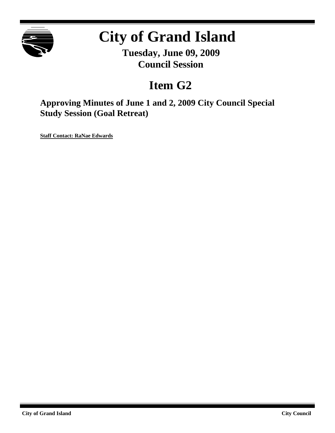

# **City of Grand Island**

**Tuesday, June 09, 2009 Council Session**

# **Item G2**

**Approving Minutes of June 1 and 2, 2009 City Council Special Study Session (Goal Retreat)**

**Staff Contact: RaNae Edwards**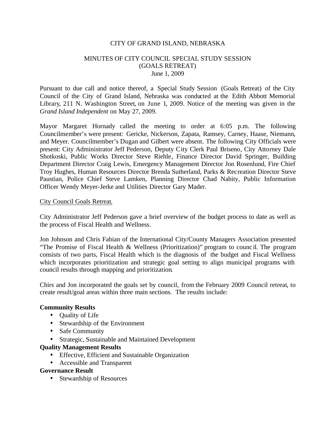## CITY OF GRAND ISLAND, NEBRASKA

# MINUTES OF CITY COUNCIL SPECIAL STUDY SESSION (GOALS RETREAT) June 1, 2009

Pursuant to due call and notice thereof, a Special Study Session (Goals Retreat) of the City Council of the City of Grand Island, Nebraska was conducted at the Edith Abbott Memorial Library, 211 N. Washington Street, on June 1, 2009. Notice of the meeting was given in the *Grand Island Independent* on May 27, 2009.

Mayor Margaret Hornady called the meeting to order at 6:05 p.m. The following Councilmember's were present: Gericke, Nickerson, Zapata, Ramsey, Carney, Haase, Niemann, and Meyer. Councilmember's Dugan and Gilbert were absent. The following City Officials were present: City Administrator Jeff Pederson, Deputy City Clerk Paul Briseno, City Attorney Dale Shotkoski, Public Works Director Steve Riehle, Finance Director David Springer, Building Department Director Craig Lewis, Emergency Management Director Jon Rosenlund, Fire Chief Troy Hughes, Human Resources Director Brenda Sutherland, Parks & Recreation Director Steve Paustian, Police Chief Steve Lamken, Planning Director Chad Nabity, Public Information Officer Wendy Meyer-Jerke and Utilities Director Gary Mader.

#### City Council Goals Retreat.

City Administrator Jeff Pederson gave a brief overview of the budget process to date as well as the process of Fiscal Health and Wellness.

Jon Johnson and Chris Fabian of the International City/County Managers Association presented "The Promise of Fiscal Health & Wellness (Prioritization)" program to counc il. The program consists of two parts, Fiscal Health which is the diagnosis of the budget and Fiscal Wellness which incorporates prioritization and strategic goal setting to align municipal programs with council results through mapping and prioritization.

Chirs and Jon incorporated the goals set by council, from the February 2009 Council retreat, to create result/goal areas within three main sections. The results include:

#### **Community Results**

- Quality of Life
- Stewardship of the Environment
- Safe Community
- Strategic, Sustainable and Maintained Development

#### **Quality Management Results**

- Effective, Efficient and Sustainable Organization
- Accessible and Transparent

#### **Governance Result**

• Stewardship of Resources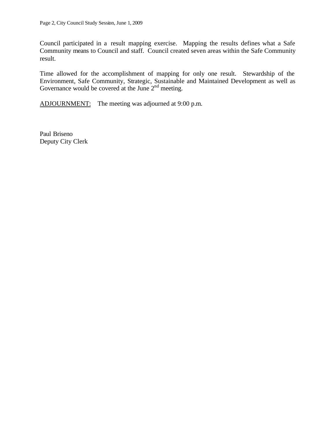Council participated in a result mapping exercise. Mapping the results defines what a Safe Community means to Council and staff. Council created seven areas within the Safe Community result.

Time allowed for the accomplishment of mapping for only one result. Stewardship of the Environment, Safe Community, Strategic, Sustainable and Maintained Development as well as Governance would be covered at the June  $2<sup>nd</sup>$  meeting.

ADJOURNMENT: The meeting was adjourned at 9:00 p.m.

Paul Briseno Deputy City Clerk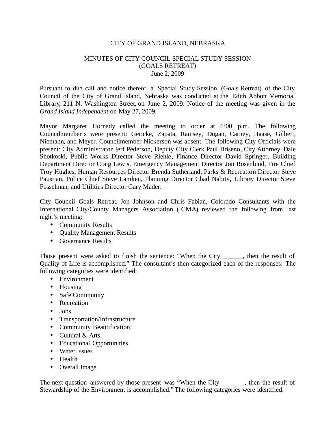## CITY OF GRAND ISLAND, NEBRASKA

# MINUTES OF CITY COUNCIL SPECIAL STUDY SESSION (GOALS RETREAT) June 2, 2009

Pursuant to due call and notice thereof, a Special Study Session (Goals Retreat) of the City Council of the City of Grand Island, Nebraska was conducted at the Edith Abbott Memorial Library, 211 N. Washington Street, on June 2, 2009. Notice of the meeting was given in the *Grand Island Independent* on May 27, 2009.

Mayor Margaret Hornady called the meeting to order at 6:00 p.m. The following Councilmember's were present: Gericke, Zapata, Ramsey, Dugan, Carney, Haase, Gilbert, Niemann, and Meyer. Councilmember Nickerson was absent. The following City Officials were present: City Administrator Jeff Pederson, Deputy City Clerk Paul Briseno, City Attorney Dale Shotkoski, Public Works Director Steve Riehle, Finance Director David Springer, Building Department Director Craig Lewis, Emergency Management Director Jon Rosenlund, Fire Chief Troy Hughes, Human Resources Director Brenda Sutherland, Parks & Recreation Director Steve Paustian, Police Chief Steve Lamken, Planning Director Chad Nabity, Library Director Steve Fosselman, and Utilities Director Gary Mader.

City Council Goals Retreat. Jon Johnson and Chris Fabian, Colorado Consultants with the International City/County Managers Association (ICMA) reviewed the following from last night's meeting:

- Community Results
- Quality Management Results
- Governance Results

Those present were asked to finish the sentence: "When the City \_\_\_\_\_, then the result of Quality of Life is accomplished." The consultant's then categorized each of the responses. The following categories were identified:

- Environment
- Housing
- Safe Community
- Recreation
- Jobs
- Transportation/Infrastructure
- Community Beautification
- Cultural & Arts
- Educational Opportunities
- Water Issues
- Health
- Overall Image

The next question answered by those present was "When the City \_\_\_\_\_\_, then the result of Stewardship of the Environment is accomplished." The following categories were identified: